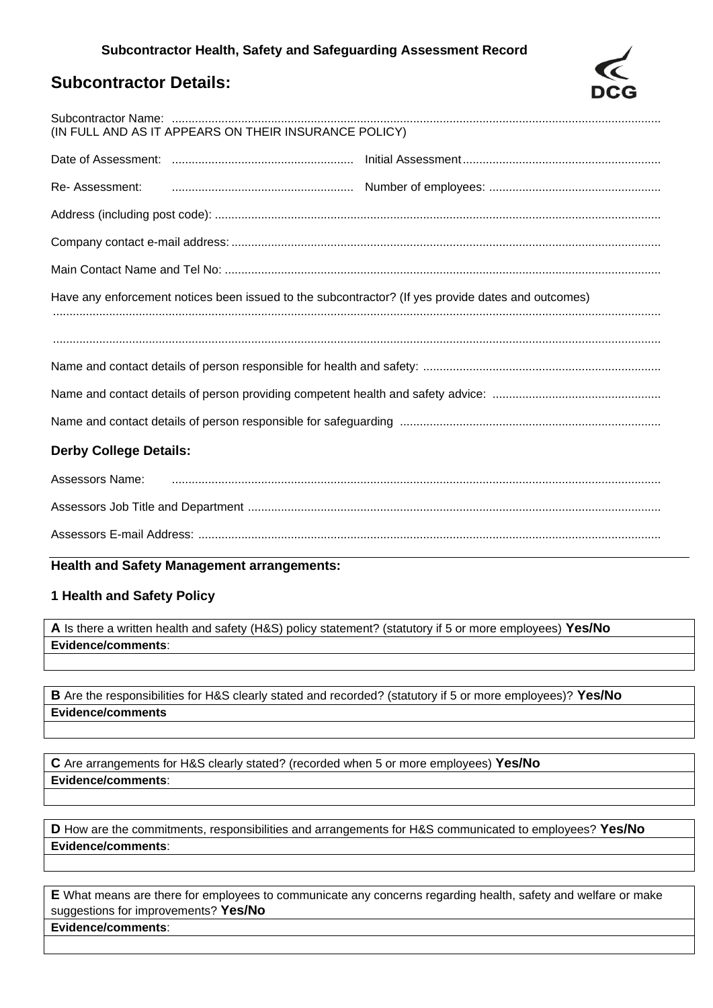## **Subcontractor Details:**

| (IN FULL AND AS IT APPEARS ON THEIR INSURANCE POLICY)                                              |  |  |  |  |
|----------------------------------------------------------------------------------------------------|--|--|--|--|
|                                                                                                    |  |  |  |  |
| Re-Assessment:                                                                                     |  |  |  |  |
|                                                                                                    |  |  |  |  |
|                                                                                                    |  |  |  |  |
|                                                                                                    |  |  |  |  |
| Have any enforcement notices been issued to the subcontractor? (If yes provide dates and outcomes) |  |  |  |  |
|                                                                                                    |  |  |  |  |
|                                                                                                    |  |  |  |  |
|                                                                                                    |  |  |  |  |
|                                                                                                    |  |  |  |  |
| <b>Derby College Details:</b>                                                                      |  |  |  |  |
| Assessors Name:                                                                                    |  |  |  |  |
|                                                                                                    |  |  |  |  |
|                                                                                                    |  |  |  |  |

#### **Health and Safety Management arrangements:**

### **1 Health and Safety Policy**

**A** Is there a written health and safety (H&S) policy statement? (statutory if 5 or more employees) **Yes/No Evidence/comments**:

**B** Are the responsibilities for H&S clearly stated and recorded? (statutory if 5 or more employees)? **Yes/No Evidence/comments**

**C** Are arrangements for H&S clearly stated? (recorded when 5 or more employees) **Yes/No Evidence/comments**:

**D** How are the commitments, responsibilities and arrangements for H&S communicated to employees? **Yes/No Evidence/comments**:

**E** What means are there for employees to communicate any concerns regarding health, safety and welfare or make suggestions for improvements? **Yes/No Evidence/comments**: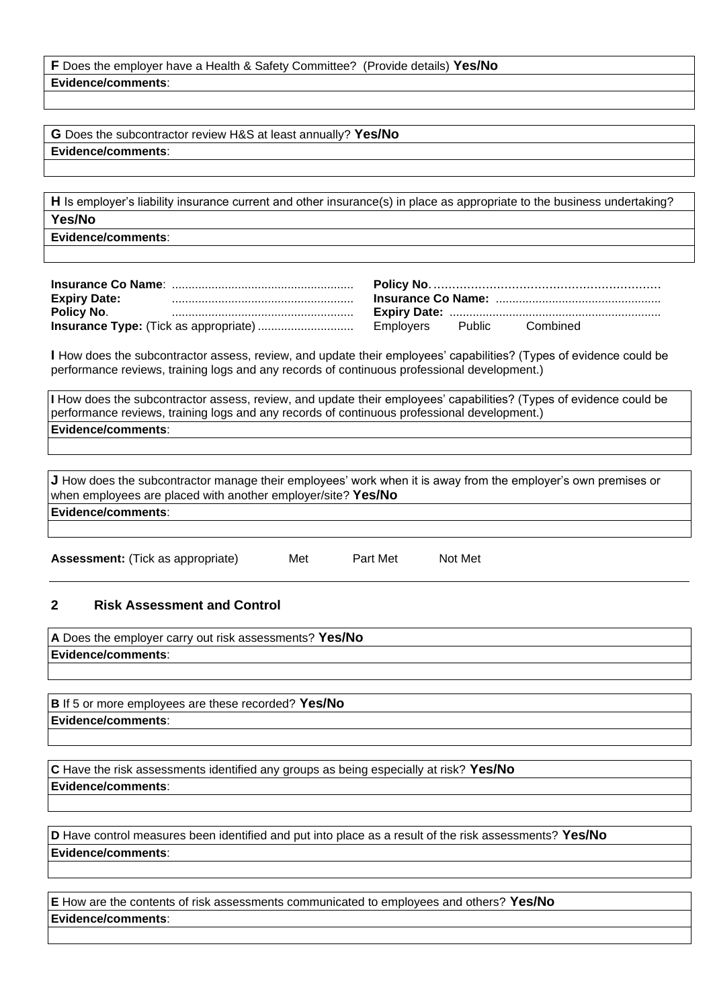| <b>F</b> Does the employer have a Health & Safety Committee? (Provide details) Yes/No |  |
|---------------------------------------------------------------------------------------|--|
| Evidence/comments:                                                                    |  |

**G** Does the subcontractor review H&S at least annually? **Yes/No Evidence/comments**:

**H** Is employer's liability insurance current and other insurance(s) in place as appropriate to the business undertaking? **Yes/No**

**Evidence/comments**:

| <b>Expiry Date:</b> |                              |  |  |
|---------------------|------------------------------|--|--|
| Policy No.          | Combined<br>Employers Public |  |  |
|                     |                              |  |  |

**I** How does the subcontractor assess, review, and update their employees' capabilities? (Types of evidence could be performance reviews, training logs and any records of continuous professional development.)

**I** How does the subcontractor assess, review, and update their employees' capabilities? (Types of evidence could be performance reviews, training logs and any records of continuous professional development.) **Evidence/comments**:

**J** How does the subcontractor manage their employees' work when it is away from the employer's own premises or when employees are placed with another employer/site? **Yes/No Evidence/comments**:

Assessment: (Tick as appropriate) Met Part Met Not Met

#### **2 Risk Assessment and Control**

| A Does the employer carry out risk assessments? Yes/No |  |
|--------------------------------------------------------|--|
| Evidence/comments:                                     |  |
|                                                        |  |

**B** If 5 or more employees are these recorded? **Yes/No Evidence/comments**:

**C** Have the risk assessments identified any groups as being especially at risk? **Yes/No Evidence/comments**:

**D** Have control measures been identified and put into place as a result of the risk assessments? **Yes/No Evidence/comments**:

**E** How are the contents of risk assessments communicated to employees and others? **Yes/No Evidence/comments**: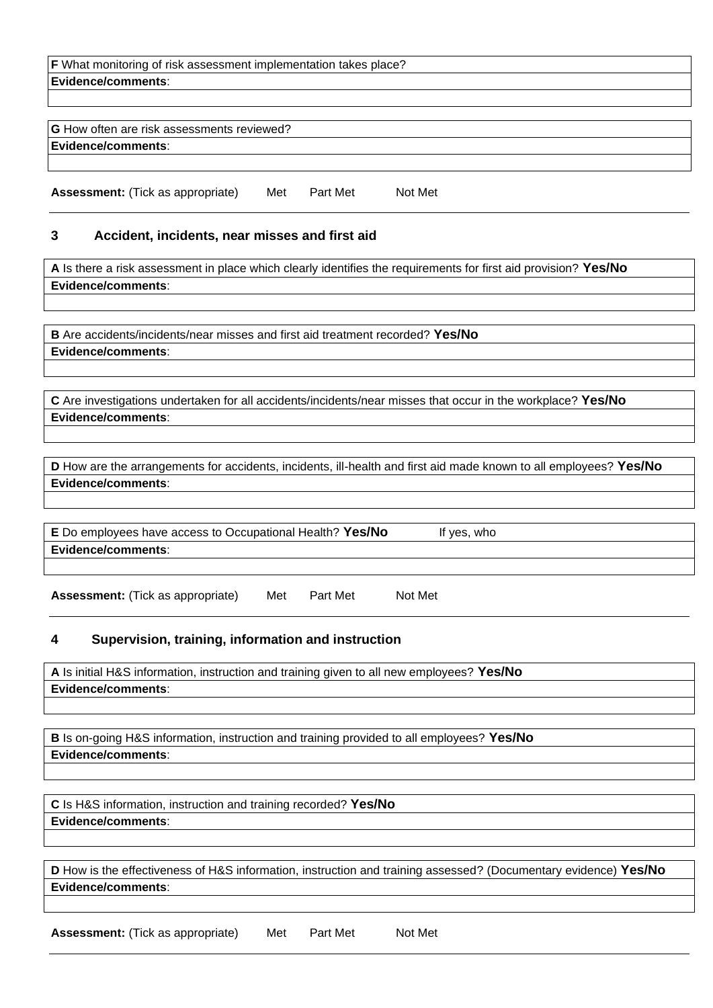| <b>F</b> What monitoring of risk assessment implementation takes place? |  |  |
|-------------------------------------------------------------------------|--|--|
| Evidence/comments:                                                      |  |  |
|                                                                         |  |  |
|                                                                         |  |  |
| <b>G</b> How often are risk assessments reviewed?                       |  |  |
| Evidence/comments:                                                      |  |  |
|                                                                         |  |  |

Assessment: (Tick as appropriate) Met Part Met Not Met

#### **3 Accident, incidents, near misses and first aid**

**A** Is there a risk assessment in place which clearly identifies the requirements for first aid provision? **Yes/No Evidence/comments**:

**B** Are accidents/incidents/near misses and first aid treatment recorded? **Yes/No Evidence/comments**:

**C** Are investigations undertaken for all accidents/incidents/near misses that occur in the workplace? **Yes/No Evidence/comments**:

**D** How are the arrangements for accidents, incidents, ill-health and first aid made known to all employees? **Yes/No Evidence/comments**:

| E Do employees have access to Occupational Health? Yes/No | * ves, who |
|-----------------------------------------------------------|------------|
| Evidence/comments:                                        |            |

Assessment: (Tick as appropriate) Met Part Met Not Met

#### **4 Supervision, training, information and instruction**

**A** Is initial H&S information, instruction and training given to all new employees? **Yes/No Evidence/comments**:

**B** Is on-going H&S information, instruction and training provided to all employees? **Yes/No Evidence/comments**:

**C** Is H&S information, instruction and training recorded? **Yes/No Evidence/comments**:

**D** How is the effectiveness of H&S information, instruction and training assessed? (Documentary evidence) **Yes/No Evidence/comments**:

Assessment: (Tick as appropriate) Met Part Met Not Met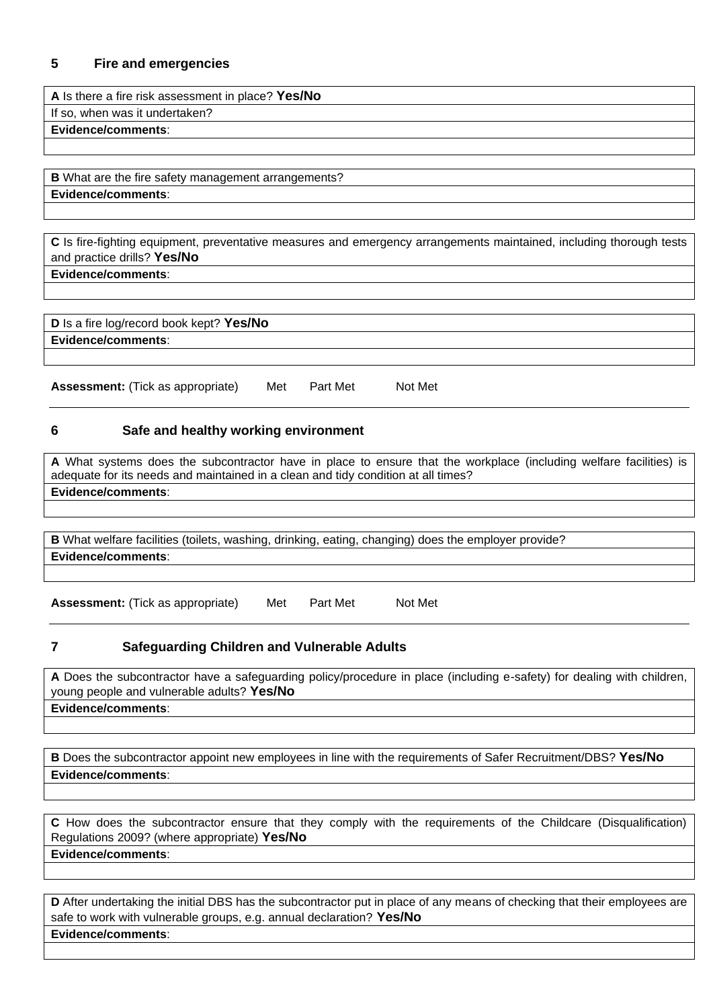#### **5 Fire and emergencies**

**A** Is there a fire risk assessment in place? **Yes/No** If so, when was it undertaken? **Evidence/comments**:

**B** What are the fire safety management arrangements? **Evidence/comments**:

**C** Is fire-fighting equipment, preventative measures and emergency arrangements maintained, including thorough tests and practice drills? **Yes/No**

**Evidence/comments**:

**D** Is a fire log/record book kept? **Yes/No Evidence/comments**:

Assessment: (Tick as appropriate) Met Part Met Not Met

#### **6 Safe and healthy working environment**

**A** What systems does the subcontractor have in place to ensure that the workplace (including welfare facilities) is adequate for its needs and maintained in a clean and tidy condition at all times? **Evidence/comments**:

**B** What welfare facilities (toilets, washing, drinking, eating, changing) does the employer provide?

**Evidence/comments**:

Assessment: (Tick as appropriate) Met Part Met Not Met

#### **7 Safeguarding Children and Vulnerable Adults**

**A** Does the subcontractor have a safeguarding policy/procedure in place (including e-safety) for dealing with children, young people and vulnerable adults? **Yes/No Evidence/comments**:

**B** Does the subcontractor appoint new employees in line with the requirements of Safer Recruitment/DBS? **Yes/No Evidence/comments**:

**C** How does the subcontractor ensure that they comply with the requirements of the Childcare (Disqualification) Regulations 2009? (where appropriate) **Yes/No Evidence/comments**:

**D** After undertaking the initial DBS has the subcontractor put in place of any means of checking that their employees are safe to work with vulnerable groups, e.g. annual declaration? **Yes/No Evidence/comments**: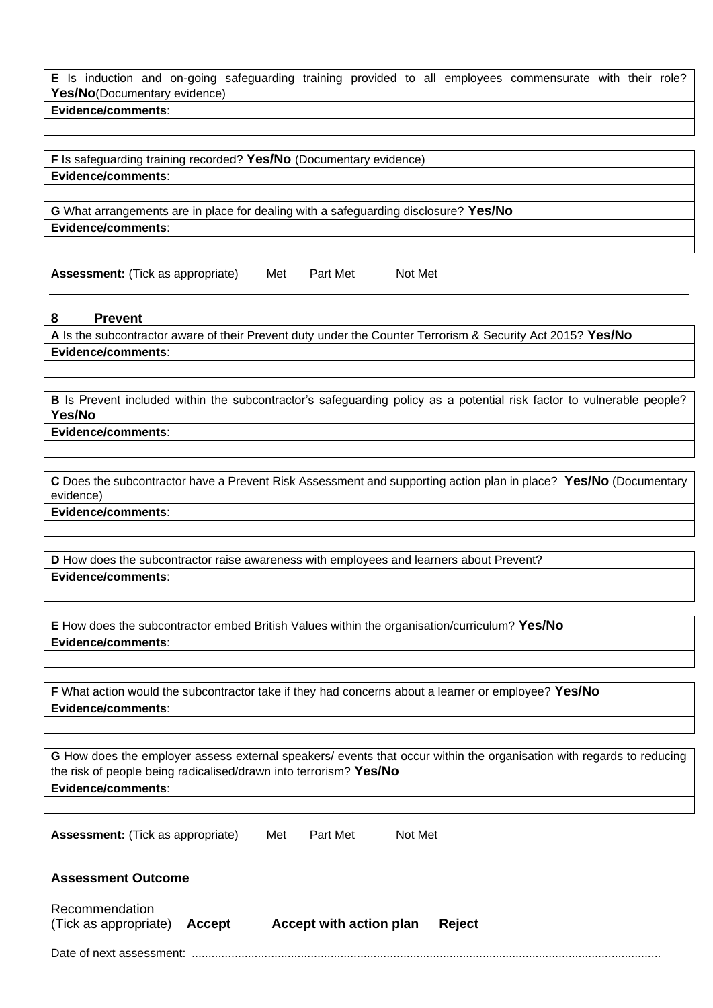**E** Is induction and on-going safeguarding training provided to all employees commensurate with their role? **Yes/No**(Documentary evidence)

**Evidence/comments**:

**F** Is safeguarding training recorded? **Yes/No** (Documentary evidence) **Evidence/comments**:

**G** What arrangements are in place for dealing with a safeguarding disclosure? **Yes/No Evidence/comments**:

Assessment: (Tick as appropriate) Met Part Met Not Met

**8 Prevent**

**A** Is the subcontractor aware of their Prevent duty under the Counter Terrorism & Security Act 2015? **Yes/No Evidence/comments**:

**B** Is Prevent included within the subcontractor's safeguarding policy as a potential risk factor to vulnerable people? **Yes/No**

**Evidence/comments**:

**C** Does the subcontractor have a Prevent Risk Assessment and supporting action plan in place? **Yes/No** (Documentary evidence)

**Evidence/comments**:

**D** How does the subcontractor raise awareness with employees and learners about Prevent? **Evidence/comments**:

**E** How does the subcontractor embed British Values within the organisation/curriculum? **Yes/No Evidence/comments**:

**F** What action would the subcontractor take if they had concerns about a learner or employee? **Yes/No Evidence/comments**:

**G** How does the employer assess external speakers/ events that occur within the organisation with regards to reducing the risk of people being radicalised/drawn into terrorism? **Yes/No Evidence/comments**:

Assessment: (Tick as appropriate) Met Part Met Not Met

**Assessment Outcome**

Recommendation (Tick as appropriate) **Accept Accept with action plan Reject**

Date of next assessment: ..............................................................................................................................................